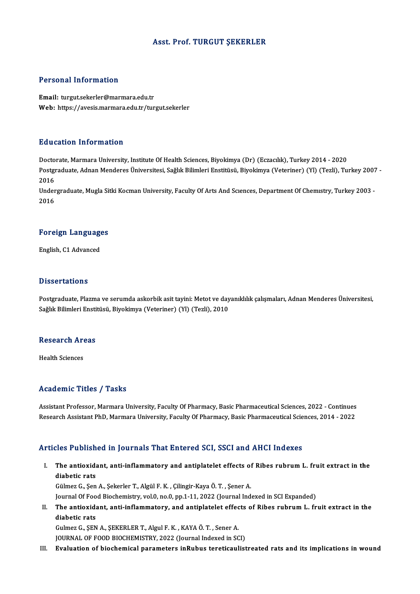### Asst. Prof. TURGUT ŞEKERLER

### Personal Information

Email: turgut.sekerler@marmara.edu.tr Web: https://avesis.marmara.edu.tr/turgut.sekerler

### Education Information

Education Information<br>Doctorate, Marmara University, Institute Of Health Sciences, Biyokimya (Dr) (Eczacılık), Turkey 2014 - 2020<br>Postaraduata Adnan Mandares Üniversitesi, Sağlık Bilimleri Enstitüsü, Biyokimya (Veteriner) Postgraduate, Adnan Menderes Üniversitesi, Sağlık Bilimleri Enstitüsü, Biyokimya (Veteriner) (Yl) (Tezli), Turkey 2007 - 2016 Docto<br>Postgi<br>2016<br>Under Postgraduate, Adnan Menderes Üniversitesi, Sağlık Bilimleri Enstitüsü, Biyokimya (Veteriner) (Yl) (Tezli), Turkey 2007<br>2016<br>Undergraduate, Mugla Sitki Kocman University, Faculty Of Arts And Scıences, Department Of Chemıstr

2016<br>Under<br>2016

# <sub>2016</sub><br>Foreign Languages F<mark>oreign Languag</mark>e<br>English, C1 Advanced

English, C1 Advanced<br>Dissertations

Postgraduate, Plazma ve serumda askorbik asit tayini: Metot ve dayanıklılık çalışmaları, Adnan Menderes Üniversitesi, Sağlık Bilimleri Enstitüsü, Biyokimya (Veteriner) (Yl) (Tezli), 2010

# saguk Buimieri Ensu<br>Research Areas R<mark>esearch Ar</mark><br>Health Sciences

# Academic Titles / Tasks

Academic Titles / Tasks<br>Assistant Professor, Marmara University, Faculty Of Pharmacy, Basic Pharmaceutical Sciences, 2022 - Continues<br>Research Assistant PhD, Marmara University, Faculty Of Pharmacy, Basic Pharmaceutical Sc recaut mile Trees 7 Tasks<br>Assistant Professor, Marmara University, Faculty Of Pharmacy, Basic Pharmaceutical Sciences, 2022 - Continues<br>Research Assistant PhD, Marmara University, Faculty Of Pharmacy, Basic Pharmaceutical Research Assistant PhD, Marmara University, Faculty Of Pharmacy, Basic Pharmaceutical Sciences, 2014 - 2022<br>Articles Published in Journals That Entered SCI, SSCI and AHCI Indexes

rticles Published in Journals That Entered SCI, SSCI and AHCI Indexes<br>I. The antioxidant, anti-inflammatory and antiplatelet effects of Ribes rubrum L. fruit extract in the<br>dishatis rate reservation<br>The antioxide<br>diabetic rats diabetic rats<br>Gülmez G., Şen A., Şekerler T., Algül F. K. , Çilingir-Kaya Ö. T. , Şener A.

Journal Of Food Biochemistry, vol.0, no.0, pp.1-11, 2022 (Journal Indexed in SCI Expanded)

Gülmez G., Şen A., Şekerler T., Algül F. K. , Çilingir-Kaya Ö. T. , Şener A.<br>Journal Of Food Biochemistry, vol.0, no.0, pp.1-11, 2022 (Journal Indexed in SCI Expanded)<br>II. The antioxidant, anti-inflammatory, and antiplatel Journal Of Foo<br><mark>The antioxid:</mark><br>diabetic rats<br>Culmer C. SEN The antioxidant, anti-inflammatory, and antiplatelet effec<br>diabetic rats<br>Gulmez G., ŞEN A., ŞEKERLER T., Algul F. K. , KAYA Ö. T. , Sener A.<br>JOUPMAL OF FOOD PIOCHEMISTRY, 2022 (Journal Indoved in SC diabetic rats<br>Gulmez G., ŞEN A., ŞEKERLER T., Algul F. K. , KAYA Ö. T. , Sener A.<br>JOURNAL OF FOOD BIOCHEMISTRY, 2022 (Journal Indexed in SCI)<br>Evaluation of biochemisel peremeters inPubus tenstiseulist

JOURNAL OF FOOD BIOCHEMISTRY, 2022 (Journal Indexed in SCI)<br>III. Evaluation of biochemical parameters inRubus tereticaulistreated rats and its implications in wound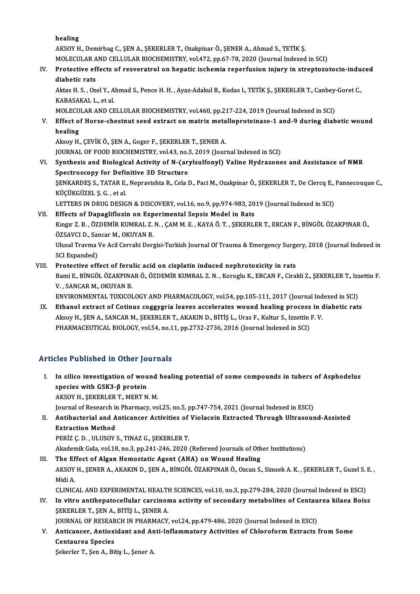healing

healing<br>AKSOY H., Demirbag C., ŞEN A., ŞEKERLER T., Ozakpinar Ö., ŞENER A., Ahmad S., TETİK Ş.<br>MOLECULAR AND CELLULAR RIQCHEMISTRY, vol.472, pp.67,78,2020 (Journal Indoved healing<br>AKSOY H., Demirbag C., ŞEN A., ŞEKERLER T., Ozakpinar Ö., ŞENER A., Ahmad S., TETİK Ş.<br>MOLECULAR AND CELLULAR BIOCHEMISTRY, vol.472, pp.67-78, 2020 (Journal Indexed in SCI)<br>Pretestive effests of nesvenstrel en bene

# AKSOY H., Demirbag C., ŞEN A., ŞEKERLER T., Ozakpinar Ö., ŞENER A., Ahmad S., TETİK Ş.<br>MOLECULAR AND CELLULAR BIOCHEMISTRY, vol.472, pp.67-78, 2020 (Journal Indexed in SCI)<br>IV. Protective effects of resveratrol on hepatic MOLECULAR AND CELLULAR BIOCHEMISTRY, vol.472, pp.67-78, 2020 (Journal Indexed in SCI)<br>Protective effects of resveratrol on hepatic ischemia reperfusion injury in streptozo<br>diabetic rats Protective effects of resveratrol on hepatic ischemia reperfusion injury in streptozotocin-indu<br>diabetic rats<br>Aktas H. S. , Ozel Y., Ahmad S., Pence H. H. , Ayaz-Adakul B., Kudas I., TETİK Ş., ŞEKERLER T., Canbey-Goret C.,

diabetic rats<br>Aktas H. S. , Ozel Y., A<br>KABASAKAL L., et al.<br>MOLECULAR AND CE Aktas H. S. , Ozel Y., Ahmad S., Pence H. H. , Ayaz-Adakul B., Kudas I., TETİK Ş., ŞEKERLER T., Canbey-<br>KABASAKAL L., et al.<br>MOLECULAR AND CELLULAR BIOCHEMISTRY, vol.460, pp.217-224, 2019 (Journal Indexed in SCI)<br>Effect of

KABASAKAL L., et al.<br>MOLECULAR AND CELLULAR BIOCHEMISTRY, vol.460, pp.217-224, 2019 (Journal Indexed in SCI)<br>V. Effect of Horse-chestnut seed extract on matrix metalloproteinase-1 and-9 during diabetic wound<br>healing MOLECULAR AND CELLULAR BIOCHEMISTRY, vol.460, pp.217-224, 2019 (Journal Indexed in SCI)<br>Effect of Horse-chestnut seed extract on matrix metalloproteinase-1 and-9 during diab<br>healing<br>Aksoy H., CEVIK Ö., SEN A., Goger F., SE Effect of Horse-chestnut seed extract on matrix meta<br>healing<br>Aksoy H., ÇEVİK Ö., ŞEN A., Goger F., ŞEKERLER T., ŞENER A.<br>JOUPNAL OE EOOD BIOCHEMISTRY vel 43, no 3, 2019 (Jour

JOURNAL OF FOOD BIOCHEMISTRY, vol.43, no.3, 2019 (Journal Indexed in SCI) VI. Synthesis and Biological Activity of N-(arylsulfonyl) Valine Hydrazones and Assistance of NMR JOURNAL OF FOOD BIOCHEMISTRY, vol.43, no.3<br>Synthesis and Biological Activity of N-(ary<br>Spectroscopy for Definitive 3D Structure<br>SENKARDES S. TATAR E. Nonravishta B. Cala I

Synthesis and Biological Activity of N-(arylsulfonyl) Valine Hydrazones and Assistance of NMR<br>Spectroscopy for Definitive 3D Structure<br>ŞENKARDEŞ S., TATAR E., Nepravishta R., Cela D., Paci M., Ozakpinar Ö., ŞEKERLER T., De Spectroscopy for Defi:<br>ŞENKARDEŞ S., TATAR E.<br>KÜÇÜKGÜZEL Ş. G. , et al.<br>LETTERS IN DRUC DESIC ŞENKARDEŞ S., TATAR E., Nepravishta R., Cela D., Paci M., Ozakpinar Ö., ŞEKERLER T., De Clercq E.,<br>KÜÇÜKGÜZEL Ş. G. , et al.<br>LETTERS IN DRUG DESIGN & DISCOVERY, vol.16, no.9, pp.974-983, 2019 (Journal Indexed in SCI)<br>Effec

KÜÇÜKGÜZEL Ş. G. , et al.<br>LETTERS IN DRUG DESIGN & DISCOVERY, vol.16, no.9, pp.974-983, 20<br>VII. Effects of Dapagliflozin on Experimental Sepsis Model in Rats<br>Vingu Z. B. ÖZDEMİR KUMRAL Z.N. CAMM E. KAVA Ö.T. SEKERLI LETTERS IN DRUG DESIGN & DISCOVERY, vol.16, no.9, pp.974-983, 2019 (Journal Indexed in SCI)<br>Effects of Dapagliflozin on Experimental Sepsis Model in Rats<br>Kıngır Z. B. , ÖZDEMİR KUMRAL Z. N. , ÇAM M. E. , KAYA Ö. T. , ŞEKER Effects of Dapagliflozin on Exp<br>Kıngır Z. B. , ÖZDEMİR KUMRAL Z.<br>ÖZSAVCI D., Sancar M., OKUYAN B.<br>Ulusal Trauma Ve Asil Carrabi Dara Kıngır Z. B. , ÖZDEMİR KUMRAL Z. N. , ÇAM M. E. , KAYA Ö. T. , ŞEKERLER T., ERCAN F., BİNGÖL ÖZAKPINAR Ö.,<br>ÖZSAVCI D., Sancar M., OKUYAN B.<br>Ulusal Travma Ve Acil Cerrahi Dergisi-Turkish Journal Of Trauma & Emergency Surger

ÖZSAVCI D., Sancar M., OKUYAN B.<br>Ulusal Travma Ve Acil Cerrahi Dergisi-Turkish Journal Of Trauma & Emergency Surgery, 2018 (Journal Indexed in<br>SCI Expanded) VI Ulusal Travma Ve Acil Cerrahi Dergisi-Turkish Journal Of Trauma & Emergency Surge<br>SCI Expanded)<br>VIII. Protective effect of ferulic acid on cisplatin induced nephrotoxicity in rats<br>Pami E. PINCÖL ÖZAKPINAR Ö. ÖZDEMİR KUM

# SCI Expanded)<br>Protective effect of ferulic acid on cisplatin induced nephrotoxicity in rats<br>Bami E., BİNGÖL ÖZAKPINAR Ö., ÖZDEMİR KUMRAL Z. N. , Koroglu K., ERCAN F., Cirakli Z., ŞEKERLER T., Izzettin F<br>V. SANGAR M. QKUYAN Protective effect of feru<br>Bami E., BİNGÖL ÖZAKPINA<br>V., SANCAR M., OKUYAN B.<br>ENVIRONMENTAL TOYICOL Bami E., BİNGÖL ÖZAKPINAR Ö., ÖZDEMİR KUMRAL Z. N. , Koroglu K., ERCAN F., Cirakli Z., ŞEKERLER T., Izz<br>V. , SANCAR M., OKUYAN B.<br>ENVIRONMENTAL TOXICOLOGY AND PHARMACOLOGY, vol.54, pp.105-111, 2017 (Journal Indexed in SCI)

V., SANCAR M., OKUYAN B.<br>ENVIRONMENTAL TOXICOLOGY AND PHARMACOLOGY, vol.54, pp.105-111, 2017 (Journal Indexed in SCI)<br>IX. Ethanol extract of Cotinus coggygria leaves accelerates wound healing process in diabetic rats<br>Algoy ENVIRONMENTAL TOXICOLOGY AND PHARMACOLOGY, vol.54, pp.105-111, 2017 (Journal Ind<br>Ethanol extract of Cotinus coggygria leaves accelerates wound healing process in c<br>Aksoy H., ŞEN A., SANCAR M., ŞEKERLER T., AKAKIN D., BİTİŞ IX. Ethanol extract of Cotinus coggygria leaves accelerates wound healing process in diabetic rats<br>Aksoy H., ŞEN A., SANCAR M., ŞEKERLER T., AKAKIN D., BİTİŞ L., Uras F., Kultur S., Izzettin F. V.<br>PHARMACEUTICAL BIOLOGY, v

## Articles Published in Other Journals

I. In silico investigation of wound healing potential of some compounds in tubers of Asphodelus species with GSK3-β protein AKSOY H., ŞEKERLER T., MERT N.M. species with GSK3-β protein<br>AKSOY H., ŞEKERLER T., MERT N. M.<br>Journal of Research in Pharmacy, vol.25, no.5, pp.747-754, 2021 (Journal Indexed in ESCI)<br>Antibactorial and Anticancer Activities of Vialacein Extracted Through

II. Antibacterial and Anticancer Activities of Violacein Extracted Through Ultrasound-Assisted<br>Extraction Method **Journal of Research in<br>Antibacterial and A<br>Extraction Method<br>PEPİZ C D - ULUSOY** 

PERİZ Ç.D., ULUSOYS., TINAZ G., ŞEKERLER T.

Akademik Gıda, vol.18, no.3, pp.241-246, 2020 (Refereed Journals of Other Institutions)

- PERIZ Ç. D., ULUSOY S., TINAZ G., ŞEKERLER T.<br>Akademik Gıda, vol.18, no.3, pp.241-246, 2020 (Refereed Journals of Oth<br>III. The Effect of Algan Hemostatic Agent (AHA) on Wound Healing<br>AKSOV H. SENER A. AKAKIN D. SEN A. PING AKSOY H., ŞENER A., AKAKIN D., ŞEN A., BİNGÖL ÖZAKPINAR Ö., Ozcan S., Simsek A. K. , ŞEKERLER T., Guzel S. E. ,<br>Midi A. The Ef<br>AKSOY<br>Midi A.<br>CUNIC AKSOY H., ŞENER A., AKAKIN D., ŞEN A., BİNGÖL ÖZAKPINAR Ö., Ozcan S., Simsek A. K. , ŞEKERLER T., Guzel S. .<br>Midi A.<br>CLINICAL AND EXPERIMENTAL HEALTH SCIENCES, vol.10, no.3, pp.279-284, 2020 (Journal Indexed in ESCI)<br>In ui Midi A.<br>CLINICAL AND EXPERIMENTAL HEALTH SCIENCES, vol.10, no.3, pp.279-284, 2020 (Journal Indexed in ESCI)<br>IV. In vitro antihepatocellular carcinoma activity of secondary metabolites of Centaurea kilaea Boiss<br>SEVEDLED T.
- CLINICAL AND EXPERIMENTAL HEALTI<br>In vitro antihepatocellular carcinor<br>ŞEKERLER T., ŞEN A., BİTİŞ L., ŞENER A.<br>JOUPNAL OF PESEARCH IN PHARMACY In vitro antihepatocellular carcinoma activity of secondary metabolites of Centau<br>ŞEKERLER T., ŞEN A., BİTİŞ L., ŞENER A.<br>JOURNAL OF RESEARCH IN PHARMACY, vol.24, pp.479-486, 2020 (Journal Indexed in ESCI)<br>Antisansor, Anti

SEKERLER T., SEN A., BİTİŞ L., SENER A.<br>JOURNAL OF RESEARCH IN PHARMACY, vol.24, pp.479-486, 2020 (Journal Indexed in ESCI)<br>V. Anticancer, Antioxidant and Anti-Inflammatory Activities of Chloroform Extracts from Some<br>C **JOURNAL OF RESEAR<br>Anticancer, Antioxi<br>Centaurea Species<br>Sekerler T. Sen A. Bu** Anticancer, Antioxidant and An<br>Centaurea Species<br>Şekerler T., Şen A., Bitiş L., Şener A.